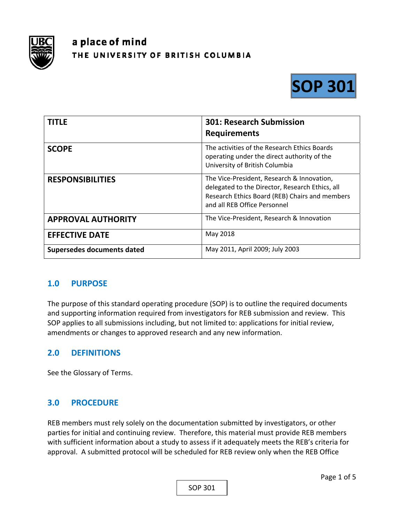

# a place of mind THE UNIVERSITY OF BRITISH COLUMBIA



| <b>TITLE</b>               | <b>301: Research Submission</b>                                                                                                                                                 |
|----------------------------|---------------------------------------------------------------------------------------------------------------------------------------------------------------------------------|
|                            | <b>Requirements</b>                                                                                                                                                             |
| <b>SCOPE</b>               | The activities of the Research Ethics Boards<br>operating under the direct authority of the<br>University of British Columbia                                                   |
| <b>RESPONSIBILITIES</b>    | The Vice-President, Research & Innovation,<br>delegated to the Director, Research Ethics, all<br>Research Ethics Board (REB) Chairs and members<br>and all REB Office Personnel |
| <b>APPROVAL AUTHORITY</b>  | The Vice-President, Research & Innovation                                                                                                                                       |
| <b>EFFECTIVE DATE</b>      | May 2018                                                                                                                                                                        |
| Supersedes documents dated | May 2011, April 2009; July 2003                                                                                                                                                 |

## **1.0 PURPOSE**

The purpose of this standard operating procedure (SOP) is to outline the required documents and supporting information required from investigators for REB submission and review. This SOP applies to all submissions including, but not limited to: applications for initial review, amendments or changes to approved research and any new information.

## **2.0 DEFINITIONS**

See the Glossary of Terms.

## **3.0 PROCEDURE**

REB members must rely solely on the documentation submitted by investigators, or other parties for initial and continuing review. Therefore, this material must provide REB members with sufficient information about a study to assess if it adequately meets the REB's criteria for approval. A submitted protocol will be scheduled for REB review only when the REB Office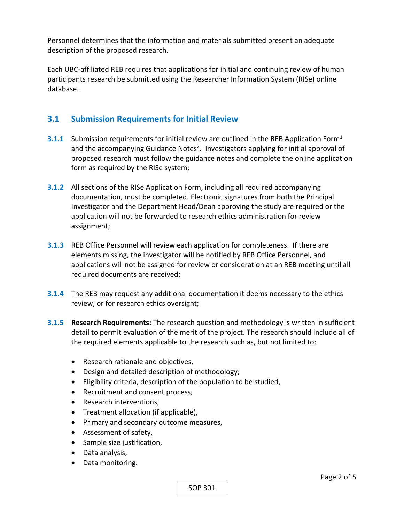Personnel determines that the information and materials submitted present an adequate description of the proposed research.

Each UBC‐affiliated REB requires that applications for initial and continuing review of human participants research be submitted using the Researcher Information System (RISe) online database.

# **3.1 Submission Requirements for Initial Review**

- **3.1.1** Submission requirements for initial review are outlined in the REB Application Form<sup>1</sup> and the accompanying Guidance Notes<sup>2</sup>. Investigators applying for initial approval of proposed research must follow the guidance notes and complete the online application form as required by the RISe system;
- **3.1.2**  All sections of the RISe Application Form, including all required accompanying documentation, must be completed. Electronic signatures from both the Principal Investigator and the Department Head/Dean approving the study are required or the application will not be forwarded to research ethics administration for review assignment;
- **3.1.3**  REB Office Personnel will review each application for completeness. If there are elements missing, the investigator will be notified by REB Office Personnel, and applications will not be assigned for review or consideration at an REB meeting until all required documents are received;
- **3.1.4**  The REB may request any additional documentation it deems necessary to the ethics review, or for research ethics oversight;
- **3.1.5 Research Requirements:** The research question and methodology is written in sufficient detail to permit evaluation of the merit of the project. The research should include all of the required elements applicable to the research such as, but not limited to:
	- Research rationale and objectives,
	- Design and detailed description of methodology;
	- Eligibility criteria, description of the population to be studied,
	- Recruitment and consent process,
	- Research interventions,
	- Treatment allocation (if applicable),
	- Primary and secondary outcome measures,
	- Assessment of safety,
	- Sample size justification,
	- Data analysis,
	- Data monitoring.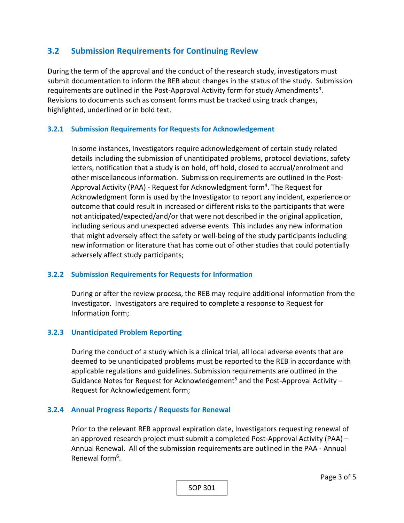# **3.2 Submission Requirements for Continuing Review**

During the term of the approval and the conduct of the research study, investigators must submit documentation to inform the REB about changes in the status of the study. Submission requirements are outlined in the Post-Approval Activity form for study Amendments<sup>3</sup>. Revisions to documents such as consent forms must be tracked using track changes, highlighted, underlined or in bold text.

#### **3.2.1 Submission Requirements for Requests for Acknowledgement**

In some instances, Investigators require acknowledgement of certain study related details including the submission of unanticipated problems, protocol deviations, safety letters, notification that a study is on hold, off hold, closed to accrual/enrolment and other miscellaneous information. Submission requirements are outlined in the Post‐ Approval Activity (PAA) - Request for Acknowledgment form<sup>4</sup>. The Request for Acknowledgment form is used by the Investigator to report any incident, experience or outcome that could result in increased or different risks to the participants that were not anticipated/expected/and/or that were not described in the original application, including serious and unexpected adverse events This includes any new information that might adversely affect the safety or well‐being of the study participants including new information or literature that has come out of other studies that could potentially adversely affect study participants;

#### **3.2.2 Submission Requirements for Requests for Information**

During or after the review process, the REB may require additional information from the Investigator. Investigators are required to complete a response to Request for Information form;

### **3.2.3 Unanticipated Problem Reporting**

During the conduct of a study which is a clinical trial, all local adverse events that are deemed to be unanticipated problems must be reported to the REB in accordance with applicable regulations and guidelines. Submission requirements are outlined in the Guidance Notes for Request for Acknowledgement<sup>5</sup> and the Post-Approval Activity – Request for Acknowledgement form;

#### **3.2.4 Annual Progress Reports / Requests for Renewal**

Prior to the relevant REB approval expiration date, Investigators requesting renewal of an approved research project must submit a completed Post‐Approval Activity (PAA) – Annual Renewal. All of the submission requirements are outlined in the PAA ‐ Annual Renewal form<sup>6</sup>.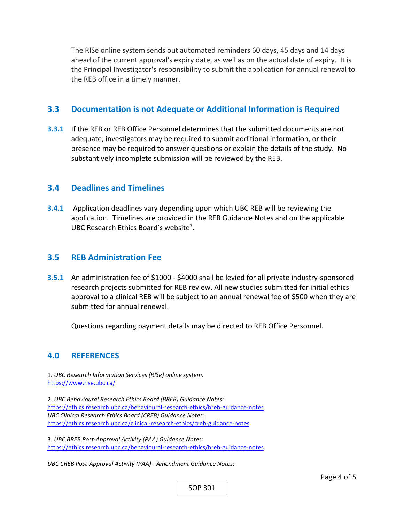The RISe online system sends out automated reminders 60 days, 45 days and 14 days ahead of the current approval's expiry date, as well as on the actual date of expiry. It is the Principal Investigator's responsibility to submit the application for annual renewal to the REB office in a timely manner.

## **3.3 Documentation is not Adequate or Additional Information is Required**

**3.3.1**  If the REB or REB Office Personnel determines that the submitted documents are not adequate, investigators may be required to submit additional information, or their presence may be required to answer questions or explain the details of the study. No substantively incomplete submission will be reviewed by the REB.

## **3.4 Deadlines and Timelines**

**3.4.1 Application deadlines vary depending upon which UBC REB will be reviewing the** application. Timelines are provided in the REB Guidance Notes and on the applicable UBC Research Ethics Board's website<sup>7</sup>.

## **3.5 REB Administration Fee**

**3.5.1** An administration fee of \$1000 - \$4000 shall be levied for all private industry-sponsored research projects submitted for REB review. All new studies submitted for initial ethics approval to a clinical REB will be subject to an annual renewal fee of \$500 when they are submitted for annual renewal.

Questions regarding payment details may be directed to REB Office Personnel.

## **4.0 REFERENCES**

1. *UBC Research Information Services (RISe) online system:*  https://www.rise.ubc.ca/

2. *UBC Behavioural Research Ethics Board (BREB) Guidance Notes:*  https://ethics.research.ubc.ca/behavioural‐research‐ethics/breb‐guidance‐notes *UBC Clinical Research Ethics Board (CREB) Guidance Notes:*  https://ethics.research.ubc.ca/clinical‐research‐ethics/creb‐guidance‐notes

3. *UBC BREB Post‐Approval Activity (PAA) Guidance Notes:*  https://ethics.research.ubc.ca/behavioural‐research‐ethics/breb‐guidance‐notes

*UBC CREB Post‐Approval Activity (PAA) ‐ Amendment Guidance Notes:*